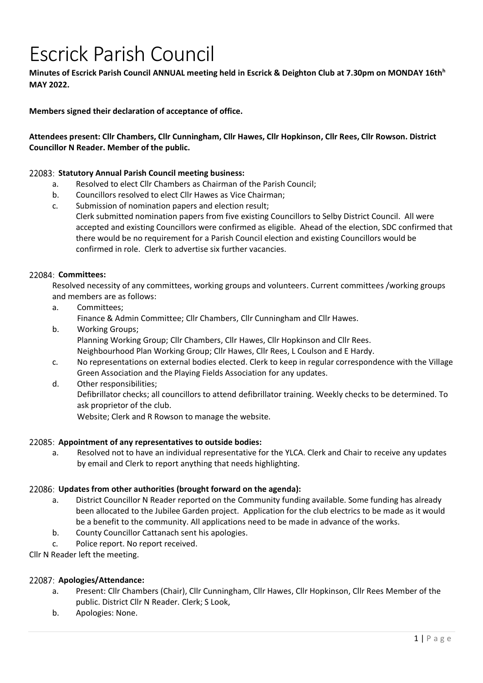# Escrick Parish Council

**Minutes of Escrick Parish Council ANNUAL meeting held in Escrick & Deighton Club at 7.30pm on MONDAY 16th<sup>h</sup> MAY 2022.** 

**Members signed their declaration of acceptance of office.** 

**Attendees present: Cllr Chambers, Cllr Cunningham, Cllr Hawes, Cllr Hopkinson, Cllr Rees, Cllr Rowson. District Councillor N Reader. Member of the public.** 

# **Statutory Annual Parish Council meeting business:**

- a. Resolved to elect Cllr Chambers as Chairman of the Parish Council;
- b. Councillors resolved to elect Cllr Hawes as Vice Chairman;
- c. Submission of nomination papers and election result; Clerk submitted nomination papers from five existing Councillors to Selby District Council. All were accepted and existing Councillors were confirmed as eligible. Ahead of the election, SDC confirmed that there would be no requirement for a Parish Council election and existing Councillors would be confirmed in role. Clerk to advertise six further vacancies.

## **Committees:**

Resolved necessity of any committees, working groups and volunteers. Current committees /working groups and members are as follows:

- a. Committees; Finance & Admin Committee; Cllr Chambers, Cllr Cunningham and Cllr Hawes.
- b. Working Groups; Planning Working Group; Cllr Chambers, Cllr Hawes, Cllr Hopkinson and Cllr Rees. Neighbourhood Plan Working Group; Cllr Hawes, Cllr Rees, L Coulson and E Hardy.
- c. No representations on external bodies elected. Clerk to keep in regular correspondence with the Village Green Association and the Playing Fields Association for any updates.
- d. Other responsibilities; Defibrillator checks; all councillors to attend defibrillator training. Weekly checks to be determined. To ask proprietor of the club.

Website; Clerk and R Rowson to manage the website.

## **Appointment of any representatives to outside bodies:**

a. Resolved not to have an individual representative for the YLCA. Clerk and Chair to receive any updates by email and Clerk to report anything that needs highlighting.

# **Updates from other authorities (brought forward on the agenda):**

- a. District Councillor N Reader reported on the Community funding available. Some funding has already been allocated to the Jubilee Garden project. Application for the club electrics to be made as it would be a benefit to the community. All applications need to be made in advance of the works.
- b. County Councillor Cattanach sent his apologies.
- c. Police report. No report received.

Cllr N Reader left the meeting.

## **Apologies/Attendance:**

- a. Present: Cllr Chambers (Chair), Cllr Cunningham, Cllr Hawes, Cllr Hopkinson, Cllr Rees Member of the public. District Cllr N Reader. Clerk; S Look,
- b. Apologies: None.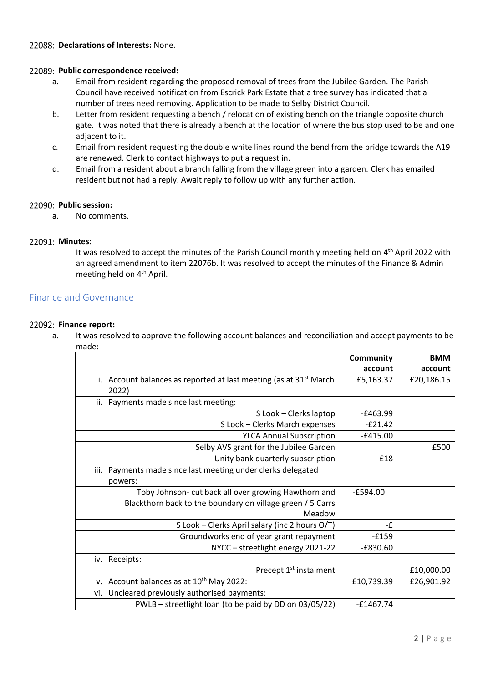# **Declarations of Interests:** None.

## **Public correspondence received:**

- a. Email from resident regarding the proposed removal of trees from the Jubilee Garden. The Parish Council have received notification from Escrick Park Estate that a tree survey has indicated that a number of trees need removing. Application to be made to Selby District Council.
- b. Letter from resident requesting a bench / relocation of existing bench on the triangle opposite church gate. It was noted that there is already a bench at the location of where the bus stop used to be and one adjacent to it.
- c. Email from resident requesting the double white lines round the bend from the bridge towards the A19 are renewed. Clerk to contact highways to put a request in.
- d. Email from a resident about a branch falling from the village green into a garden. Clerk has emailed resident but not had a reply. Await reply to follow up with any further action.

## **Public session:**

a. No comments.

# **Minutes:**

It was resolved to accept the minutes of the Parish Council monthly meeting held on 4<sup>th</sup> April 2022 with an agreed amendment to item 22076b. It was resolved to accept the minutes of the Finance & Admin meeting held on 4<sup>th</sup> April.

# Finance and Governance

## 22092: Finance report:

a. It was resolved to approve the following account balances and reconciliation and accept payments to be made:

|                |                                                                            | Community   | <b>BMM</b> |
|----------------|----------------------------------------------------------------------------|-------------|------------|
|                |                                                                            | account     | account    |
| $\mathbf{i}$ . | Account balances as reported at last meeting (as at 31 <sup>st</sup> March | £5,163.37   | £20,186.15 |
|                | 2022)                                                                      |             |            |
| ii.            | Payments made since last meeting:                                          |             |            |
|                | S Look - Clerks laptop                                                     | $-£463.99$  |            |
|                | S Look - Clerks March expenses                                             | $-E21.42$   |            |
|                | <b>YLCA Annual Subscription</b>                                            | $-£415.00$  |            |
|                | Selby AVS grant for the Jubilee Garden                                     |             | £500       |
|                | Unity bank quarterly subscription                                          | $-£18$      |            |
| iii.           | Payments made since last meeting under clerks delegated                    |             |            |
|                | powers:                                                                    |             |            |
|                | Toby Johnson- cut back all over growing Hawthorn and                       | $-E594.00$  |            |
|                | Blackthorn back to the boundary on village green / 5 Carrs                 |             |            |
|                | Meadow                                                                     |             |            |
|                | S Look - Clerks April salary (inc 2 hours O/T)                             | -£          |            |
|                | Groundworks end of year grant repayment                                    | $-E159$     |            |
|                | NYCC - streetlight energy 2021-22                                          | $-£830.60$  |            |
| iv.            | Receipts:                                                                  |             |            |
|                | Precept 1 <sup>st</sup> instalment                                         |             | £10,000.00 |
| v.             | Account balances as at 10 <sup>th</sup> May 2022:                          | £10,739.39  | £26,901.92 |
| vi.l           | Uncleared previously authorised payments:                                  |             |            |
|                | PWLB - streetlight loan (to be paid by DD on 03/05/22)                     | $-£1467.74$ |            |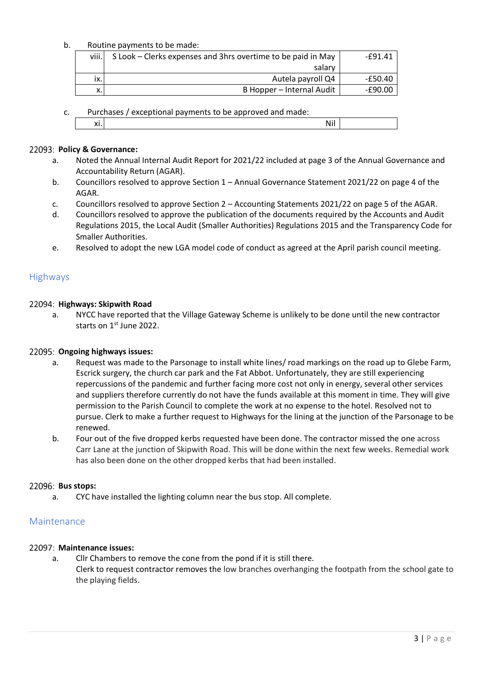## b. Routine payments to be made:

| viii.              | S Look – Clerks expenses and 3hrs overtime to be paid in May | -£91.41 |
|--------------------|--------------------------------------------------------------|---------|
|                    | salary                                                       |         |
| ix.                | Autela payroll Q4                                            | -£50.40 |
| $\checkmark$<br>Λ. | B Hopper - Internal Audit                                    | -£90.00 |

|  |  | Purchases / exceptional payments to be approved and made: |  |
|--|--|-----------------------------------------------------------|--|
|  |  |                                                           |  |

|--|

# 22093: Policy & Governance:

- a. Noted the Annual Internal Audit Report for 2021/22 included at page 3 of the Annual Governance and Accountability Return (AGAR).
- b. Councillors resolved to approve Section 1 Annual Governance Statement 2021/22 on page 4 of the AGAR.
- c. Councillors resolved to approve Section 2 Accounting Statements 2021/22 on page 5 of the AGAR.
- d. Councillors resolved to approve the publication of the documents required by the Accounts and Audit Regulations 2015, the Local Audit (Smaller Authorities) Regulations 2015 and the Transparency Code for Smaller Authorities.
- e. Resolved to adopt the new LGA model code of conduct as agreed at the April parish council meeting.

# **Highways**

# **Highways: Skipwith Road**

a. NYCC have reported that the Village Gateway Scheme is unlikely to be done until the new contractor starts on 1st June 2022.

# **Ongoing highways issues:**

- a. Request was made to the Parsonage to install white lines/ road markings on the road up to Glebe Farm, Escrick surgery, the church car park and the Fat Abbot. Unfortunately, they are still experiencing repercussions of the pandemic and further facing more cost not only in energy, several other services and suppliers therefore currently do not have the funds available at this moment in time. They will give permission to the Parish Council to complete the work at no expense to the hotel. Resolved not to pursue. Clerk to make a further request to Highways for the lining at the junction of the Parsonage to be renewed.
- b. Four out of the five dropped kerbs requested have been done. The contractor missed the one across Carr Lane at the junction of Skipwith Road. This will be done within the next few weeks. Remedial work has also been done on the other dropped kerbs that had been installed.

## **Bus stops:**

a. CYC have installed the lighting column near the bus stop. All complete.

# Maintenance

# **Maintenance issues:**

a. Cllr Chambers to remove the cone from the pond if it is still there. Clerk to request contractor removes the low branches overhanging the footpath from the school gate to the playing fields.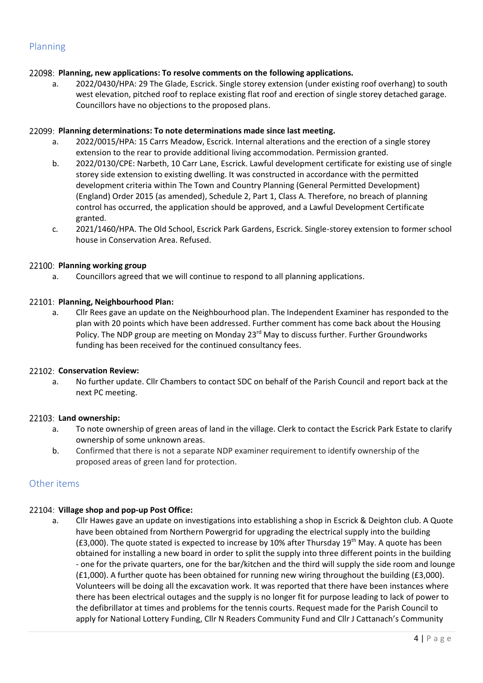# Planning

## **Planning, new applications: To resolve comments on the following applications.**

a. 2022/0430/HPA: 29 The Glade, Escrick. Single storey extension (under existing roof overhang) to south west elevation, pitched roof to replace existing flat roof and erection of single storey detached garage. Councillors have no objections to the proposed plans.

## **Planning determinations: To note determinations made since last meeting.**

- a. 2022/0015/HPA: 15 Carrs Meadow, Escrick. Internal alterations and the erection of a single storey extension to the rear to provide additional living accommodation. Permission granted.
- b. 2022/0130/CPE: Narbeth, 10 Carr Lane, Escrick. Lawful development certificate for existing use of single storey side extension to existing dwelling. It was constructed in accordance with the permitted development criteria within The Town and Country Planning (General Permitted Development) (England) Order 2015 (as amended), Schedule 2, Part 1, Class A. Therefore, no breach of planning control has occurred, the application should be approved, and a Lawful Development Certificate granted.
- c. 2021/1460/HPA. The Old School, Escrick Park Gardens, Escrick. Single-storey extension to former school house in Conservation Area. Refused.

# 22100: Planning working group

a. Councillors agreed that we will continue to respond to all planning applications.

## **Planning, Neighbourhood Plan:**

a. Cllr Rees gave an update on the Neighbourhood plan. The Independent Examiner has responded to the plan with 20 points which have been addressed. Further comment has come back about the Housing Policy. The NDP group are meeting on Monday  $23<sup>rd</sup>$  May to discuss further. Further Groundworks funding has been received for the continued consultancy fees.

## **Conservation Review:**

a. No further update. Cllr Chambers to contact SDC on behalf of the Parish Council and report back at the next PC meeting.

## **Land ownership:**

- a. To note ownership of green areas of land in the village. Clerk to contact the Escrick Park Estate to clarify ownership of some unknown areas.
- b. Confirmed that there is not a separate NDP examiner requirement to identify ownership of the proposed areas of green land for protection.

# Other items

## **Village shop and pop-up Post Office:**

a. Cllr Hawes gave an update on investigations into establishing a shop in Escrick & Deighton club. A Quote have been obtained from Northern Powergrid for upgrading the electrical supply into the building (£3,000). The quote stated is expected to increase by 10% after Thursday 19<sup>th</sup> May. A quote has been obtained for installing a new board in order to split the supply into three different points in the building - one for the private quarters, one for the bar/kitchen and the third will supply the side room and lounge (£1,000). A further quote has been obtained for running new wiring throughout the building (£3,000). Volunteers will be doing all the excavation work. It was reported that there have been instances where there has been electrical outages and the supply is no longer fit for purpose leading to lack of power to the defibrillator at times and problems for the tennis courts. Request made for the Parish Council to apply for National Lottery Funding, Cllr N Readers Community Fund and Cllr J Cattanach's Community